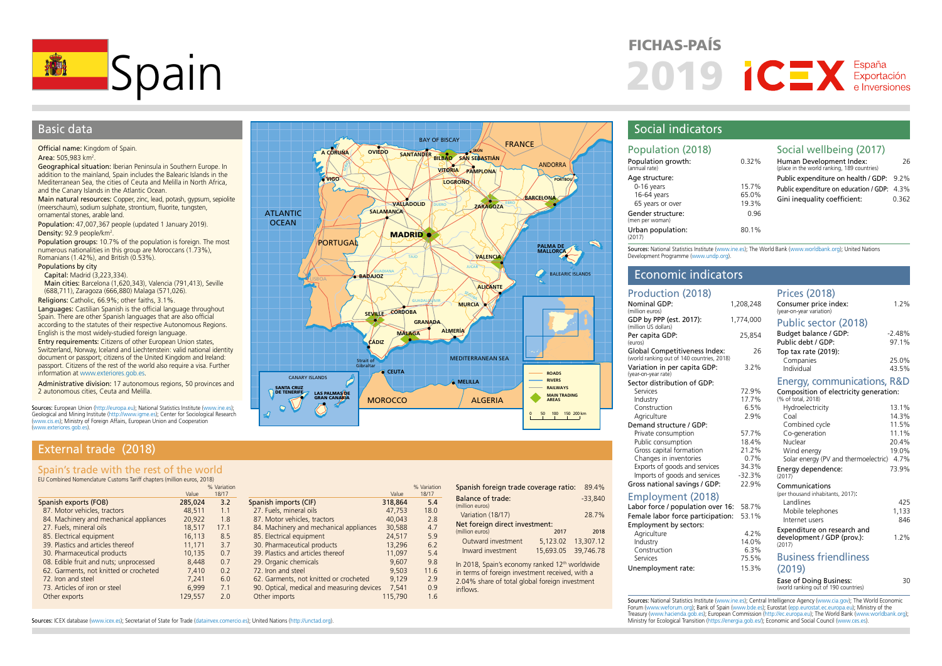

# Basic data

### Official name: Kingdom of Spain.

Area: 505,983 km<sup>2</sup>.

Geographical situation: Iberian Peninsula in Southern Europe. In addition to the mainland, Spain includes the Balearic Islands in the Mediterranean Sea, the cities of Ceuta and Melilla in North Africa, and the Canary Islands in the Atlantic Ocean.

Main natural resources: Copper, zinc, lead, potash, gypsum, sepiolite (meerschaum), sodium sulphate, strontium, fluorite, tungsten, ornamental stones, arable land.

Population: 47,007,367 people (updated 1 January 2019). Density:  $92.9$  people/km<sup>2</sup>.

Population groups: 10.7% of the population is foreign. The most numerous nationalities in this group are Moroccans (1.73%), Romanians (1.42%), and British (0.53%).

## Populations by city

Capital: Madrid (3,223,334).

Main cities: Barcelona (1,620,343), Valencia (791,413), Seville (688,711), Zaragoza (666,880) Malaga (571,026). Religions: Catholic, 66.9%; other faiths, 3.1%.

Languages: Castilian Spanish is the official language throughout Spain. There are other Spanish languages that are also official according to the statutes of their respective Autonomous Regions. English is the most widely-studied foreign language.

Entry requirements: Citizens of other European Union states, Switzerland, Norway, Iceland and Liechtenstein: valid national identity document or passport; citizens of the United Kingdom and Ireland: passport. Citizens of the rest of the world also require a visa. Further information at [www.exteriores.gob.es](http://www.exteriores.gob.es).

Administrative division: 17 autonomous regions, 50 provinces and 2 autonomous cities, Ceuta and Melilla.

Sources: European Union [\(http://europa.eu\)](http://europa.eu); National Statistics Institute ([www.ine.es\)](http://www.ine.es); Geological and Mining Institute [\(http://www.igme.es](http://www.igme.es)); Center for Sociological Research ([www.cis.es](http://www.cis.es)); Ministry of Foreign Affairs, European Union and Cooperation ([www.exteriores.gob.es](http://www.exteriores.gob.es)).

# External trade (2018)

# Spain's trade with the rest of the world

EU Combined Nomenclature Customs Tariff chapters (million euros, 2018)

|                                         |         | % Variation |                                            |         | % Variation |
|-----------------------------------------|---------|-------------|--------------------------------------------|---------|-------------|
|                                         | Value   | 18/17       |                                            | Value   | 18/17       |
| Spanish exports (FOB)                   | 285,024 | 3.2         | Spanish imports (CIF)                      | 318,864 | 5.4         |
| 87. Motor vehicles, tractors            | 48,511  | 1.1         | 27. Fuels, mineral oils                    | 47,753  | 18.0        |
| 84. Machinery and mechanical appliances | 20,922  | 1.8         | 87. Motor vehicles, tractors               | 40,043  | 2.8         |
| 27. Fuels, mineral oils                 | 18,517  | 17.1        | 84. Machinery and mechanical appliances    | 30,588  | 4.7         |
| 85. Electrical equipment                | 16.113  | 8.5         | 85. Electrical equipment                   | 24,517  | 5.9         |
| 39. Plastics and articles thereof       | 11.171  | 3.7         | 30. Pharmaceutical products                | 13,296  | 6.2         |
| 30. Pharmaceutical products             | 10.135  | 0.7         | 39. Plastics and articles thereof          | 11,097  | 5.4         |
| 08. Edible fruit and nuts; unprocessed  | 8.448   | 0.7         | 29. Organic chemicals                      | 9.607   | 9.8         |
| 62. Garments, not knitted or crocheted  | 7,410   | 0.2         | 72. Iron and steel                         | 9.503   | 11.6        |
| 72. Iron and steel                      | 7.241   | 6.0         | 62. Garments, not knitted or crocheted     | 9.129   | 2.9         |
| 73. Articles of iron or steel           | 6.999   | 7.1         | 90. Optical, medical and measuring devices | 7,541   | 0.9         |
| Other exports                           | 129.557 | 2.0         | Other imports                              | 115,790 | 1.6         |



# FICHAS-PAÍS 2019 CEX Exportación

# Social indicators

| Population (2018)                                               |                         | Social wellbeing (2017)                                                                                                 |       |
|-----------------------------------------------------------------|-------------------------|-------------------------------------------------------------------------------------------------------------------------|-------|
| Population growth:<br>(annual rate)                             | 0.32%                   | Human Development Index:<br>(place in the world ranking, 189 countries)                                                 | 26    |
| Age structure:<br>0-16 years<br>16-64 years<br>65 years or over | 15.7%<br>65.0%<br>19.3% | Public expenditure on health / GDP: 9.2%<br>Public expenditure on education / GDP: 4.3%<br>Gini inequality coefficient: | 0.362 |
| Gender structure:<br>(men per woman)                            | 0.96                    |                                                                                                                         |       |
| Urban population:<br>(2017)                                     | 80.1%                   |                                                                                                                         |       |

Sources: National Statistics Institute [\(www.ine.es](http://www.ine.es)); The World Bank [\(www.worldbank.org\)](http://www.worldbank.org); United Nations Development Programme [\(www.undp.org\)](http://www.undp.org).

## Economic indicators

Spanish foreign trade coverage ratio: 89.4%

Variation (18/17) 28.7%

Net foreign direct investment: (million euros) 2017 2018 Outward investment 5,123.02 13,307.12 Inward investment 15,693.05 39,746.78 In 2018, Spain's economy ranked 12<sup>th</sup> worldwide in terms of foreign investment received, with a 2.04% share of total global foreign investment

-33,840

Balance of trade: (million euros)

inflows.

| Production (2018)                                                           |                   | <b>Prices (2018)</b>                                            |                   |
|-----------------------------------------------------------------------------|-------------------|-----------------------------------------------------------------|-------------------|
| Nominal GDP:<br>(million euros)                                             | 1,208,248         | Consumer price index:<br>(year-on-year variation)               | 1.2%              |
| GDP by PPP (est. 2017):<br>(million US dollars)                             | 1,774,000         | Public sector (2018)                                            |                   |
| Per capita GDP:<br>(euros)                                                  | 25,854            | Budget balance / GDP:<br>Public debt / GDP:                     | $-2.48%$<br>97.1% |
| Global Competitiveness Index:<br>(world ranking out of 140 countries, 2018) | 26                | Top tax rate (2019):<br>Companies                               | 25.0%             |
| Variation in per capita GDP:<br>(year-on-year rate)                         | 3.2%              | Individual                                                      | 43.5%             |
| Sector distribution of GDP:                                                 |                   | Energy, communications, R&D                                     |                   |
| Services                                                                    | 72.9%             | Composition of electricity generation:                          |                   |
| Industry                                                                    | 17.7%             | (% of total, 2018)                                              |                   |
| Construction                                                                | 6.5%              | Hydroelectricity                                                | 13.1%             |
| Agriculture                                                                 | 2.9%              | Coal                                                            | 14.3%             |
| Demand structure / GDP:                                                     |                   | Combined cycle                                                  | 11.5%             |
| Private consumption                                                         | 57.7%             | Co-generation                                                   | 11.1%             |
| Public consumption                                                          | 18.4%             | Nuclear                                                         | 20.4%             |
| Gross capital formation                                                     | 21.2%             | Wind energy                                                     | 19.0%             |
| Changes in inventories                                                      | 0.7%              | Solar energy (PV and thermoelectric)                            | 4.7%              |
| Exports of goods and services<br>Imports of goods and services              | 34.3%<br>$-32.3%$ | Energy dependence:<br>(2017)                                    | 73.9%             |
| Gross national savings / GDP:                                               | 22.9%             | Communications                                                  |                   |
| Employment (2018)                                                           |                   | (per thousand inhabitants, 2017):                               |                   |
| Labor force / population over 16:                                           | 58.7%             | Landlines                                                       | 425               |
|                                                                             | 53.1%             | Mobile telephones                                               | 1.133             |
| Female labor force participation:                                           |                   | Internet users                                                  | 846               |
| Employment by sectors:                                                      | 4.2%              | Expenditure on research and                                     |                   |
| Agriculture<br>Industry                                                     | 14.0%             | development / GDP (prov.):                                      | 1.2%              |
| Construction                                                                | 6.3%              | (2017)                                                          |                   |
| Services                                                                    | 75.5%             | <b>Business friendliness</b>                                    |                   |
| Unemployment rate:                                                          | 15.3%             | (2019)                                                          |                   |
|                                                                             |                   | Ease of Doing Business:<br>(world ranking out of 190 countries) | 30                |

Sources: National Statistics Institute [\(www.ine.es](http://www.ine.es)); Central Intelligence Agency ([www.cia.gov\)](http://www.cia.gov); The World Economic Forum ([www.weforum.org](http://www.weforum.org)); Bank of Spain ([www.bde.es\)](http://www.bde.es); Eurostat ([epp.eurostat.ec.europa.eu\)](http://epp.eurostat.ec.europa.eu); Ministry of the Treasury (www.hacienda.gob.es); European Commission [\(http://ec.europa.eu](http://ec.europa.eu)); The World Bank (www.worldbank.org);

Sources: ICEX database [\(www.icex.es\)](http://www.icex.es); Secretariat of State for Trade ([datainvex.comercio.es](http://datainvex.comercio.es)); United Nations ([http://unctad.org\)](http://unctad.org). [Constant Cases] Ministry for Ecological Transition (https://energia.gob.es/); Economic and